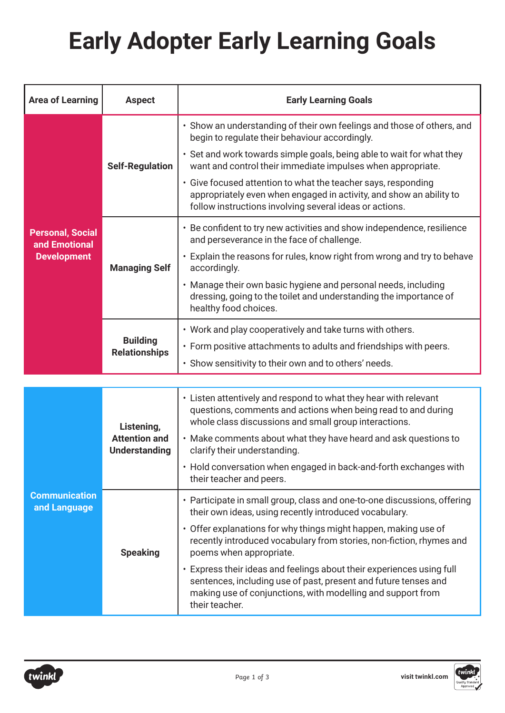## **Early Adopter Early Learning Goals**

| <b>Area of Learning</b>                                        | <b>Aspect</b>                                              | <b>Early Learning Goals</b>                                                                                                                                                                                               |  |  |  |
|----------------------------------------------------------------|------------------------------------------------------------|---------------------------------------------------------------------------------------------------------------------------------------------------------------------------------------------------------------------------|--|--|--|
| <b>Personal, Social</b><br>and Emotional<br><b>Development</b> | <b>Self-Regulation</b>                                     | • Show an understanding of their own feelings and those of others, and<br>begin to regulate their behaviour accordingly.                                                                                                  |  |  |  |
|                                                                |                                                            | • Set and work towards simple goals, being able to wait for what they<br>want and control their immediate impulses when appropriate.                                                                                      |  |  |  |
|                                                                |                                                            | • Give focused attention to what the teacher says, responding<br>appropriately even when engaged in activity, and show an ability to<br>follow instructions involving several ideas or actions.                           |  |  |  |
|                                                                | <b>Managing Self</b>                                       | • Be confident to try new activities and show independence, resilience<br>and perseverance in the face of challenge.                                                                                                      |  |  |  |
|                                                                |                                                            | • Explain the reasons for rules, know right from wrong and try to behave<br>accordingly.                                                                                                                                  |  |  |  |
|                                                                |                                                            | • Manage their own basic hygiene and personal needs, including<br>dressing, going to the toilet and understanding the importance of<br>healthy food choices.                                                              |  |  |  |
|                                                                | <b>Building</b><br><b>Relationships</b>                    | • Work and play cooperatively and take turns with others.                                                                                                                                                                 |  |  |  |
|                                                                |                                                            | • Form positive attachments to adults and friendships with peers.                                                                                                                                                         |  |  |  |
|                                                                |                                                            | · Show sensitivity to their own and to others' needs.                                                                                                                                                                     |  |  |  |
|                                                                |                                                            |                                                                                                                                                                                                                           |  |  |  |
| <b>Communication</b><br>and Language                           | Listening,<br><b>Attention and</b><br><b>Understanding</b> | • Listen attentively and respond to what they hear with relevant<br>questions, comments and actions when being read to and during<br>whole class discussions and small group interactions.                                |  |  |  |
|                                                                |                                                            | • Make comments about what they have heard and ask questions to<br>clarify their understanding.                                                                                                                           |  |  |  |
|                                                                |                                                            | • Hold conversation when engaged in back-and-forth exchanges with<br>their teacher and peers.                                                                                                                             |  |  |  |
|                                                                | <b>Speaking</b>                                            | • Participate in small group, class and one-to-one discussions, offering<br>their own ideas, using recently introduced vocabulary.                                                                                        |  |  |  |
|                                                                |                                                            | • Offer explanations for why things might happen, making use of<br>recently introduced vocabulary from stories, non-fiction, rhymes and<br>poems when appropriate.                                                        |  |  |  |
|                                                                |                                                            | . Express their ideas and feelings about their experiences using full<br>sentences, including use of past, present and future tenses and<br>making use of conjunctions, with modelling and support from<br>their teacher. |  |  |  |

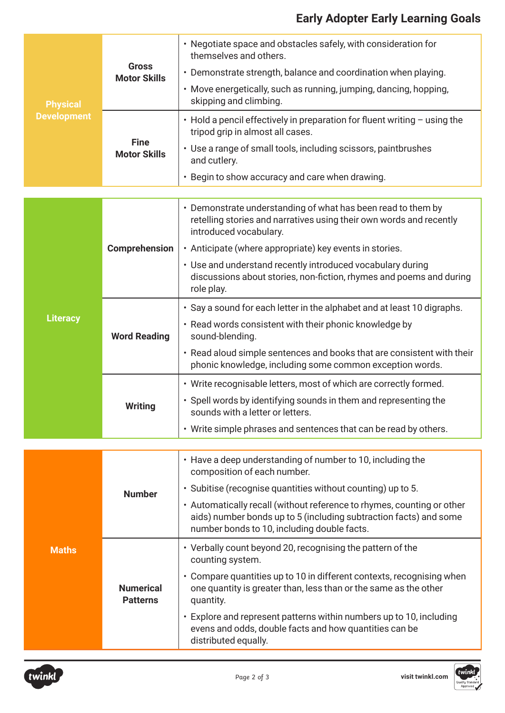## **Early Adopter Early Learning Goals**

| <b>Physical</b><br><b>Development</b> | <b>Gross</b><br><b>Motor Skills</b> | • Negotiate space and obstacles safely, with consideration for<br>themselves and others.                                                                                                   |  |  |  |
|---------------------------------------|-------------------------------------|--------------------------------------------------------------------------------------------------------------------------------------------------------------------------------------------|--|--|--|
|                                       |                                     | • Demonstrate strength, balance and coordination when playing.                                                                                                                             |  |  |  |
|                                       |                                     | • Move energetically, such as running, jumping, dancing, hopping,<br>skipping and climbing.                                                                                                |  |  |  |
|                                       | <b>Fine</b><br><b>Motor Skills</b>  | $\cdot$ Hold a pencil effectively in preparation for fluent writing $-$ using the<br>tripod grip in almost all cases.                                                                      |  |  |  |
|                                       |                                     | • Use a range of small tools, including scissors, paintbrushes<br>and cutlery.                                                                                                             |  |  |  |
|                                       |                                     | • Begin to show accuracy and care when drawing.                                                                                                                                            |  |  |  |
|                                       |                                     |                                                                                                                                                                                            |  |  |  |
|                                       | Comprehension                       | • Demonstrate understanding of what has been read to them by<br>retelling stories and narratives using their own words and recently<br>introduced vocabulary.                              |  |  |  |
|                                       |                                     | • Anticipate (where appropriate) key events in stories.                                                                                                                                    |  |  |  |
|                                       |                                     | • Use and understand recently introduced vocabulary during<br>discussions about stories, non-fiction, rhymes and poems and during<br>role play.                                            |  |  |  |
|                                       | <b>Word Reading</b>                 | • Say a sound for each letter in the alphabet and at least 10 digraphs.                                                                                                                    |  |  |  |
| <b>Literacy</b>                       |                                     | • Read words consistent with their phonic knowledge by<br>sound-blending.                                                                                                                  |  |  |  |
|                                       |                                     | • Read aloud simple sentences and books that are consistent with their<br>phonic knowledge, including some common exception words.                                                         |  |  |  |
|                                       | <b>Writing</b>                      | • Write recognisable letters, most of which are correctly formed.                                                                                                                          |  |  |  |
|                                       |                                     | · Spell words by identifying sounds in them and representing the<br>sounds with a letter or letters.                                                                                       |  |  |  |
|                                       |                                     | • Write simple phrases and sentences that can be read by others.                                                                                                                           |  |  |  |
|                                       |                                     |                                                                                                                                                                                            |  |  |  |
|                                       | <b>Number</b>                       | • Have a deep understanding of number to 10, including the<br>composition of each number.                                                                                                  |  |  |  |
| <b>Maths</b>                          |                                     | · Subitise (recognise quantities without counting) up to 5.                                                                                                                                |  |  |  |
|                                       |                                     | • Automatically recall (without reference to rhymes, counting or other<br>aids) number bonds up to 5 (including subtraction facts) and some<br>number bonds to 10, including double facts. |  |  |  |
|                                       | <b>Numerical</b><br><b>Patterns</b> | • Verbally count beyond 20, recognising the pattern of the<br>counting system.                                                                                                             |  |  |  |
|                                       |                                     | • Compare quantities up to 10 in different contexts, recognising when<br>one quantity is greater than, less than or the same as the other<br>quantity.                                     |  |  |  |
|                                       |                                     | • Explore and represent patterns within numbers up to 10, including<br>evens and odds, double facts and how quantities can be<br>distributed equally.                                      |  |  |  |